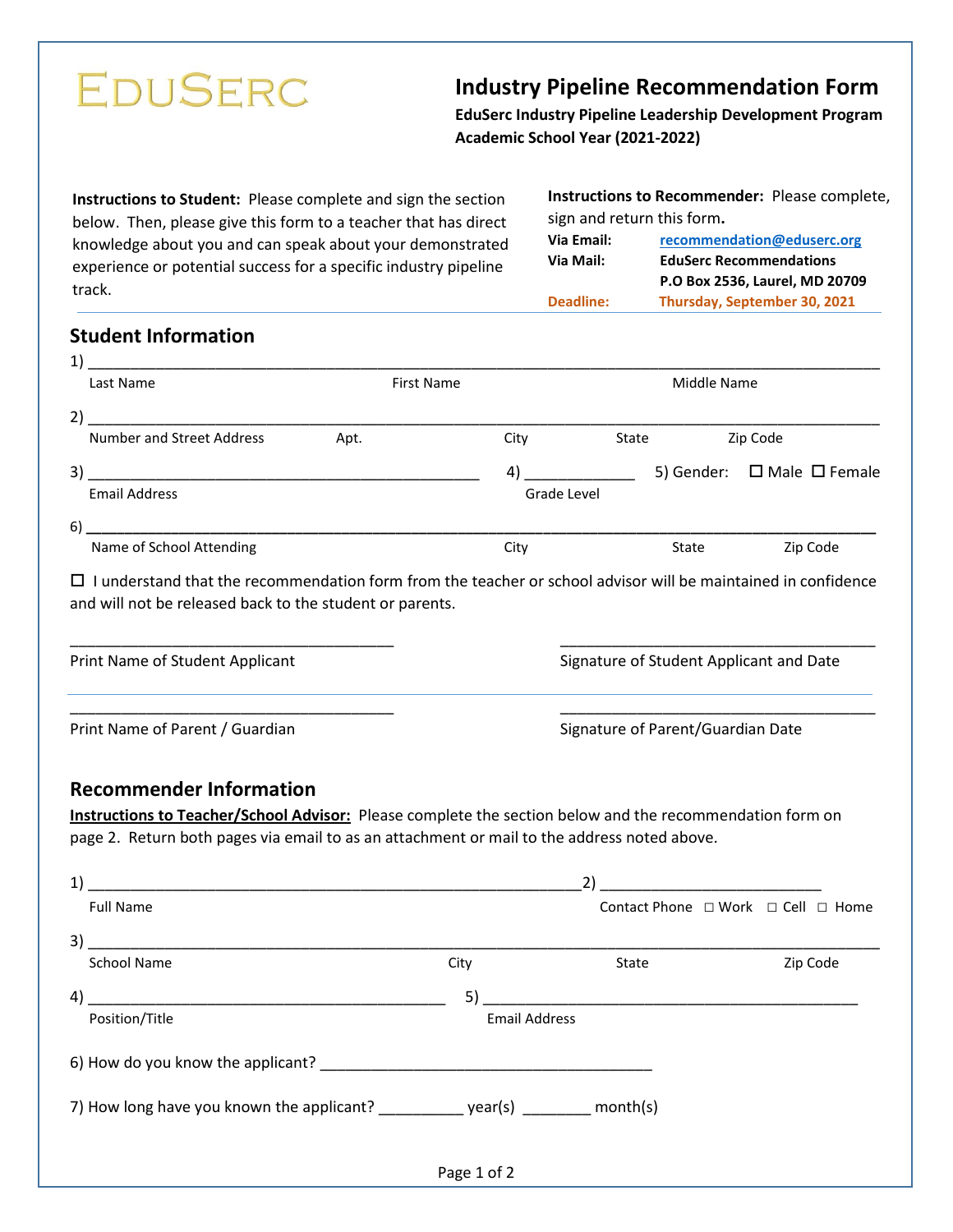# **EDUSERC**

## **Industry Pipeline Recommendation Form**

**EduSerc Industry Pipeline Leadership Development Program Academic School Year (2021-2022)**

**Instructions to Student:** Please complete and sign the section below. Then, please give this form to a teacher that has direct knowledge about you and can speak about your demonstrated experience or potential success for a specific industry pipeline track.

**Instructions to Recommender:** Please complete, sign and return this form**. Via Email: [recommendation@eduserc.org](mailto:recommendation@eduserc.org) Via Mail: EduSerc Recommendations P.O Box 2536, Laurel, MD 20709 Deadline: Thursday, September 30, 2021**

### **Student Information**

| 1)                                                                                                                                                                                                                                        |                   |                      |                                   |                |                                    |  |
|-------------------------------------------------------------------------------------------------------------------------------------------------------------------------------------------------------------------------------------------|-------------------|----------------------|-----------------------------------|----------------|------------------------------------|--|
| Last Name                                                                                                                                                                                                                                 | <b>First Name</b> |                      | Middle Name                       |                |                                    |  |
| 2)                                                                                                                                                                                                                                        |                   |                      |                                   |                |                                    |  |
| Number and Street Address                                                                                                                                                                                                                 | Apt.              | City                 |                                   | State Zip Code |                                    |  |
|                                                                                                                                                                                                                                           |                   |                      |                                   |                |                                    |  |
| <b>Email Address</b>                                                                                                                                                                                                                      |                   |                      | Grade Level                       |                |                                    |  |
|                                                                                                                                                                                                                                           |                   |                      |                                   |                |                                    |  |
| Name of School Attending                                                                                                                                                                                                                  |                   | City                 |                                   | State          | Zip Code                           |  |
| $\Box$ I understand that the recommendation form from the teacher or school advisor will be maintained in confidence<br>and will not be released back to the student or parents.                                                          |                   |                      |                                   |                |                                    |  |
| Print Name of Student Applicant<br>Signature of Student Applicant and Date                                                                                                                                                                |                   |                      |                                   |                |                                    |  |
| Print Name of Parent / Guardian                                                                                                                                                                                                           |                   |                      | Signature of Parent/Guardian Date |                |                                    |  |
| <b>Recommender Information</b><br>Instructions to Teacher/School Advisor: Please complete the section below and the recommendation form on<br>page 2. Return both pages via email to as an attachment or mail to the address noted above. |                   |                      |                                   |                |                                    |  |
|                                                                                                                                                                                                                                           |                   |                      |                                   |                |                                    |  |
| <b>Full Name</b>                                                                                                                                                                                                                          |                   |                      |                                   |                | Contact Phone □ Work □ Cell □ Home |  |
| 3)<br><u> 1989 - Johann Stein, mars et al. (1989)</u>                                                                                                                                                                                     |                   |                      |                                   |                |                                    |  |
| <b>School Name</b>                                                                                                                                                                                                                        |                   | City                 | State                             |                | Zip Code                           |  |
| 4)                                                                                                                                                                                                                                        |                   | 5)                   |                                   |                |                                    |  |
| Position/Title                                                                                                                                                                                                                            |                   | <b>Email Address</b> |                                   |                |                                    |  |
| 6) How do you know the applicant?                                                                                                                                                                                                         |                   |                      |                                   |                |                                    |  |
| 7) How long have you known the applicant? ____________ year(s) ________ month(s)                                                                                                                                                          |                   |                      |                                   |                |                                    |  |
|                                                                                                                                                                                                                                           |                   | Page 1 of 2          |                                   |                |                                    |  |